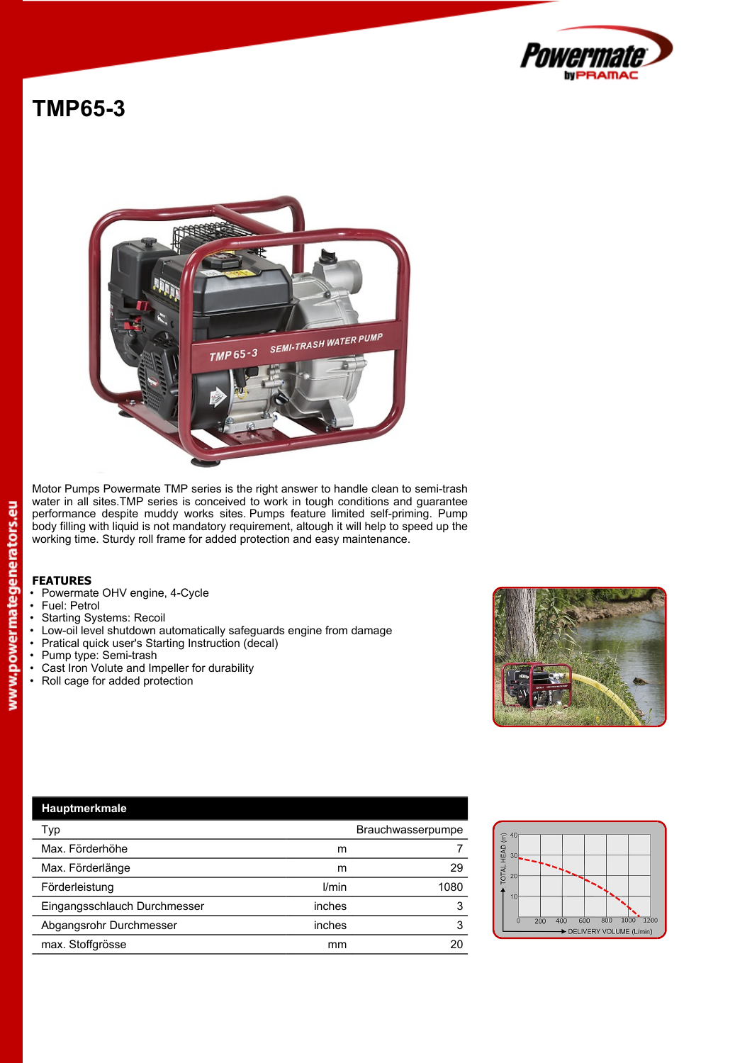

## **TMP65-3**



Motor Pumps Powermate TMP series is the right answer to handle clean to semi-trash water in all sites.TMP series is conceived to work in tough conditions and guarantee performance despite muddy works sites. Pumps feature limited self-priming. Pump body filling with liquid is not mandatory requirement, altough it will help to speed up the working time. Sturdy roll frame for added protection and easy maintenance.

## **FEATURES**

- Powermate OHV engine, 4-Cycle<br>• Fuel: Petrol
- 
- Starting Systems: Recoil<br>• Low-oil level shutdown at
- Low-oil level shutdown automatically safeguards engine from damage<br>• Pratical quick user's Starting Instruction (decal)
- Pratical quick user's Starting Instruction (decal)<br>• Pump type: Semi-trash
- Pump type: Semi-trash
- Cast Iron Volute and Impeller for durability<br>• Roll cage for added protection
- Roll cage for added protection



| Hauptmerkmale                |                   |      |                                                                              |
|------------------------------|-------------------|------|------------------------------------------------------------------------------|
| Typ                          | Brauchwasserpumpe |      | $\widehat{\epsilon}$<br>40                                                   |
| Max. Förderhöhe              | m                 |      | ð<br>$30+$<br>뿦                                                              |
| Max. Förderlänge             | m                 | 29   | <b>TOTAL</b>                                                                 |
| Förderleistung               | l/min             | 1080 |                                                                              |
| Eingangsschlauch Durchmesser | inches            | 3    |                                                                              |
| Abgangsrohr Durchmesser      | inches            | 3    | 1000 1200<br>800<br>600<br>400<br>200<br>$\Omega$<br>DELIVERY VOLUME (L/min) |
| max. Stoffgrösse             | mm                | 20   |                                                                              |